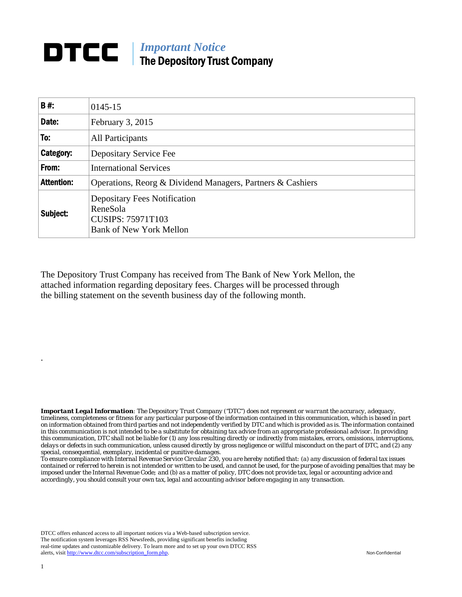## **DTCC** | *Important Notice* The Depository Trust Company

| B#:               | 0145-15                                                                                                       |
|-------------------|---------------------------------------------------------------------------------------------------------------|
| Date:             | <b>February 3, 2015</b>                                                                                       |
| To:               | All Participants                                                                                              |
| Category:         | Depositary Service Fee                                                                                        |
| From:             | <b>International Services</b>                                                                                 |
| <b>Attention:</b> | Operations, Reorg & Dividend Managers, Partners & Cashiers                                                    |
| Subject:          | <b>Depositary Fees Notification</b><br>ReneSola<br><b>CUSIPS: 75971T103</b><br><b>Bank of New York Mellon</b> |

The Depository Trust Company has received from The Bank of New York Mellon, the attached information regarding depositary fees. Charges will be processed through the billing statement on the seventh business day of the following month.

*Important Legal Information: The Depository Trust Company ("DTC") does not represent or warrant the accuracy, adequacy, timeliness, completeness or fitness for any particular purpose of the information contained in this communication, which is based in part on information obtained from third parties and not independently verified by DTC and which is provided as is. The information contained in this communication is not intended to be a substitute for obtaining tax advice from an appropriate professional advisor. In providing this communication, DTC shall not be liable for (1) any loss resulting directly or indirectly from mistakes, errors, omissions, interruptions, delays or defects in such communication, unless caused directly by gross negligence or willful misconduct on the part of DTC, and (2) any special, consequential, exemplary, incidental or punitive damages.* 

*To ensure compliance with Internal Revenue Service Circular 230, you are hereby notified that: (a) any discussion of federal tax issues contained or referred to herein is not intended or written to be used, and cannot be used, for the purpose of avoiding penalties that may be imposed under the Internal Revenue Code; and (b) as a matter of policy, DTC does not provide tax, legal or accounting advice and accordingly, you should consult your own tax, legal and accounting advisor before engaging in any transaction.*

DTCC offers enhanced access to all important notices via a Web-based subscription service. The notification system leverages RSS Newsfeeds, providing significant benefits including real-time updates and customizable delivery. To learn more and to set up your own DTCC RSS alerts, visit http://www.dtcc.com/subscription\_form.php. Non-Confidential

.